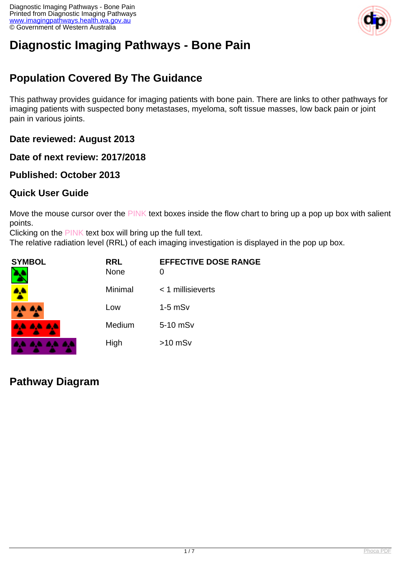Diagnostic Imaging Pathways - Bone Pain Printed from Diagnostic Imaging Pathways [www.imagingpathways.health.wa.gov.au](http://www.imagingpathways.health.wa.gov.au/) © Government of Western Australia



# **Diagnostic Imaging Pathways - Bone Pain**

## **Population Covered By The Guidance**

This pathway provides guidance for imaging patients with bone pain. There are links to other pathways for imaging patients with suspected bony metastases, myeloma, soft tissue masses, low back pain or joint pain in various joints.

**Date reviewed: August 2013**

**Date of next review: 2017/2018**

**Published: October 2013**

#### **Quick User Guide**

Move the mouse cursor over the PINK text boxes inside the flow chart to bring up a pop up box with salient points.

Clicking on the PINK text box will bring up the full text.

The relative radiation level (RRL) of each imaging investigation is displayed in the pop up box.

| <b>SYMBOL</b>    | <b>RRL</b><br><b>None</b> | <b>EFFECTIVE DOSE RANGE</b><br>$\Omega$ |
|------------------|---------------------------|-----------------------------------------|
|                  | Minimal                   | $<$ 1 millisieverts                     |
| 4A 4A            | Low                       | $1-5$ mS $v$                            |
| <b>AA AA AA</b>  | Medium                    | 5-10 mSv                                |
| . a.e. a.e. a.e. | High                      | $>10$ mSv                               |

#### **Pathway Diagram**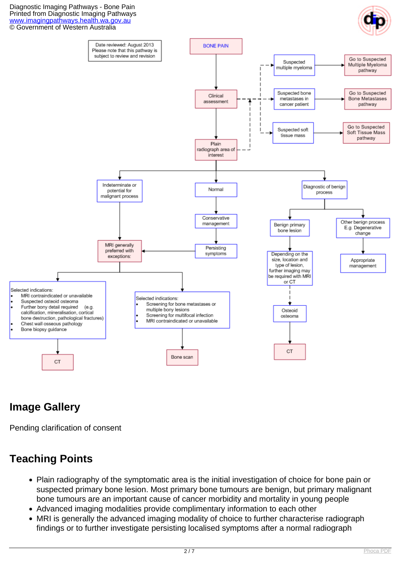Diagnostic Imaging Pathways - Bone Pain Printed from Diagnostic Imaging Pathways [www.imagingpathways.health.wa.gov.au](http://www.imagingpathways.health.wa.gov.au/) © Government of Western Australia





# **Image Gallery**

Pending clarification of consent

# **Teaching Points**

- Plain radiography of the symptomatic area is the initial investigation of choice for bone pain or suspected primary bone lesion. Most primary bone tumours are benign, but primary malignant bone tumours are an important cause of cancer morbidity and mortality in young people
- Advanced imaging modalities provide complimentary information to each other
- MRI is generally the advanced imaging modality of choice to further characterise radiograph findings or to further investigate persisting localised symptoms after a normal radiograph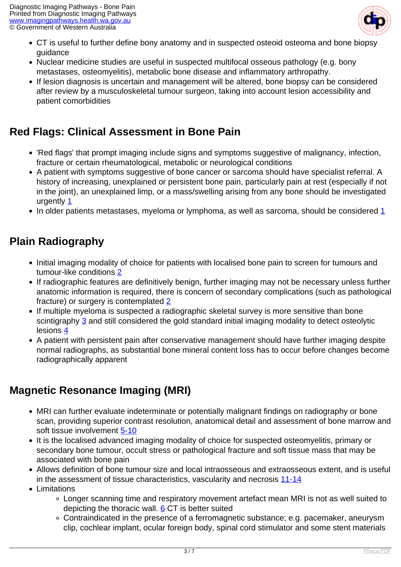

- CT is useful to further define bony anatomy and in suspected osteoid osteoma and bone biopsy guidance
- Nuclear medicine studies are useful in suspected multifocal osseous pathology (e.g. bony metastases, osteomyelitis), metabolic bone disease and inflammatory arthropathy.
- If lesion diagnosis is uncertain and management will be altered, bone biopsy can be considered after review by a musculoskeletal tumour surgeon, taking into account lesion accessibility and patient comorbidities

# **Red Flags: Clinical Assessment in Bone Pain**

- 'Red flags' that prompt imaging include signs and symptoms suggestive of malignancy, infection, fracture or certain rheumatological, metabolic or neurological conditions
- A patient with symptoms suggestive of bone cancer or sarcoma should have specialist referral. A history of increasing, unexplained or persistent bone pain, particularly pain at rest (especially if not in the joint), an unexplained limp, or a mass/swelling arising from any bone should be investigated urgently [1](index.php/imaging-pathways/musculoskeletal-trauma/musculoskeletal/bone-pain?tab=references#1)
- In older patients metastases, myeloma or lymphoma, as well as sarcoma, should be considered [1](index.php/imaging-pathways/musculoskeletal-trauma/musculoskeletal/bone-pain?tab=references#1)

### **Plain Radiography**

- Initial imaging modality of choice for patients with localised bone pain to screen for tumours and tumour-like conditions [2](index.php/imaging-pathways/musculoskeletal-trauma/musculoskeletal/bone-pain?tab=references#2)
- If radiographic features are definitively benign, further imaging may not be necessary unless further anatomic information is required, there is concern of secondary complications (such as pathological fracture) or surgery is contemplated [2](index.php/imaging-pathways/musculoskeletal-trauma/musculoskeletal/bone-pain?tab=references#2)
- If multiple myeloma is suspected a radiographic skeletal survey is more sensitive than bone scintigraphy [3](index.php/imaging-pathways/musculoskeletal-trauma/musculoskeletal/bone-pain?tab=references#3) and still considered the gold standard initial imaging modality to detect osteolytic lesions [4](index.php/imaging-pathways/musculoskeletal-trauma/musculoskeletal/bone-pain?tab=references#4)
- A patient with persistent pain after conservative management should have further imaging despite normal radiographs, as substantial bone mineral content loss has to occur before changes become radiographically apparent

## **Magnetic Resonance Imaging (MRI)**

- MRI can further evaluate indeterminate or potentially malignant findings on radiography or bone scan, providing superior contrast resolution, anatomical detail and assessment of bone marrow and soft tissue involvement [5-10](index.php/imaging-pathways/musculoskeletal-trauma/musculoskeletal/bone-pain?tab=references#5)
- It is the localised advanced imaging modality of choice for suspected osteomyelitis, primary or secondary bone tumour, occult stress or pathological fracture and soft tissue mass that may be associated with bone pain
- Allows definition of bone tumour size and local intraosseous and extraosseous extent, and is useful in the assessment of tissue characteristics, vascularity and necrosis [11-14](index.php/imaging-pathways/musculoskeletal-trauma/musculoskeletal/bone-pain?tab=references#11)
- Limitations
	- Longer scanning time and respiratory movement artefact mean MRI is not as well suited to depicting the thoracic wall. [6](index.php/imaging-pathways/musculoskeletal-trauma/musculoskeletal/bone-pain?tab=references#6) CT is better suited
	- Contraindicated in the presence of a ferromagnetic substance; e.g. pacemaker, aneurysm clip, cochlear implant, ocular foreign body, spinal cord stimulator and some stent materials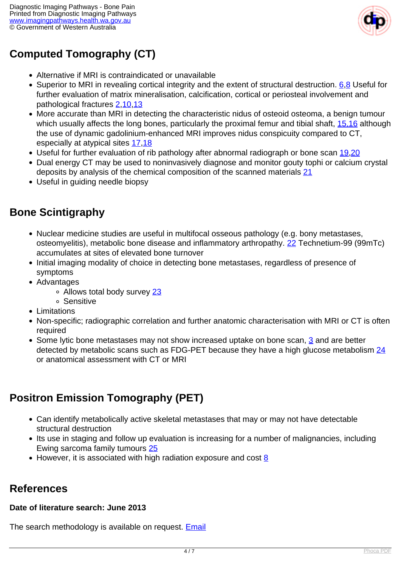

# **Computed Tomography (CT)**

- Alternative if MRI is contraindicated or unavailable
- Superior to MRI in revealing cortical integrity and the extent of structural destruction. [6](index.php/imaging-pathways/musculoskeletal-trauma/musculoskeletal/bone-pain?tab=references#6).[8](index.php/imaging-pathways/musculoskeletal-trauma/musculoskeletal/bone-pain?tab=references#8) Useful for further evaluation of matrix mineralisation, calcification, cortical or periosteal involvement and pathological fractures [2](index.php/imaging-pathways/musculoskeletal-trauma/musculoskeletal/bone-pain?tab=references#2),[10](index.php/imaging-pathways/musculoskeletal-trauma/musculoskeletal/bone-pain?tab=references#10)[,13](index.php/imaging-pathways/musculoskeletal-trauma/musculoskeletal/bone-pain?tab=references#13)
- More accurate than MRI in detecting the characteristic nidus of osteoid osteoma, a benign tumour which usually affects the long bones, particularly the proximal femur and tibial shaft, [15,16](index.php/imaging-pathways/musculoskeletal-trauma/musculoskeletal/bone-pain?tab=references#15) although the use of dynamic gadolinium-enhanced MRI improves nidus conspicuity compared to CT, especially at atypical sites [17](index.php/imaging-pathways/musculoskeletal-trauma/musculoskeletal/bone-pain?tab=references#17)[,18](index.php/imaging-pathways/musculoskeletal-trauma/musculoskeletal/bone-pain?tab=references#18)
- Useful for further evaluation of rib pathology after abnormal radiograph or bone scan [19,](index.php/imaging-pathways/musculoskeletal-trauma/musculoskeletal/bone-pain?tab=references#19)[20](index.php/imaging-pathways/musculoskeletal-trauma/musculoskeletal/bone-pain?tab=references#20)
- Dual energy CT may be used to noninvasively diagnose and monitor gouty tophi or calcium crystal deposits by analysis of the chemical composition of the scanned materials [21](index.php/imaging-pathways/musculoskeletal-trauma/musculoskeletal/bone-pain?tab=references#21)
- Useful in guiding needle biopsy

### **Bone Scintigraphy**

- Nuclear medicine studies are useful in multifocal osseous pathology (e.g. bony metastases, osteomyelitis), metabolic bone disease and inflammatory arthropathy. [22](index.php/imaging-pathways/musculoskeletal-trauma/musculoskeletal/bone-pain?tab=references#22) Technetium-99 (99mTc) accumulates at sites of elevated bone turnover
- Initial imaging modality of choice in detecting bone metastases, regardless of presence of symptoms
- Advantages
	- o Allows total body survey [23](index.php/imaging-pathways/musculoskeletal-trauma/musculoskeletal/bone-pain?tab=references#23)
	- Sensitive
- Limitations
- Non-specific; radiographic correlation and further anatomic characterisation with MRI or CT is often required
- Some lytic bone metastases may not show increased uptake on bone scan,  $\frac{3}{2}$  and are better detected by metabolic scans such as FDG-PET because they have a high glucose metabolism [24](index.php/imaging-pathways/musculoskeletal-trauma/musculoskeletal/bone-pain?tab=references#24) or anatomical assessment with CT or MRI

# **Positron Emission Tomography (PET)**

- Can identify metabolically active skeletal metastases that may or may not have detectable structural destruction
- Its use in staging and follow up evaluation is increasing for a number of malignancies, including Ewing sarcoma family tumours [25](index.php/imaging-pathways/musculoskeletal-trauma/musculoskeletal/bone-pain?tab=references#25)
- $\bullet$  However, it is associated with high radiation exposure and cost  $8$

# **References**

#### **Date of literature search: June 2013**

The search methodology is available on request. [Email](index.php/contact-us)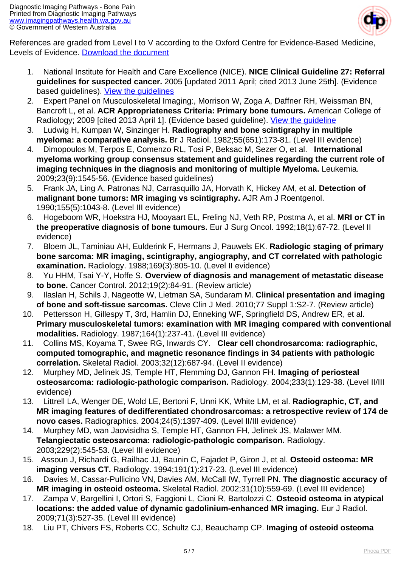

References are graded from Level I to V according to the Oxford Centre for Evidence-Based Medicine, Levels of Evidence. [Download the document](http://www.cebm.net/wp-content/uploads/2014/06/CEBM-Levels-of-Evidence-2.1.pdf)

- 1. National Institute for Health and Care Excellence (NICE). **NICE Clinical Guideline 27: Referral guidelines for suspected cancer.** 2005 [updated 2011 April; cited 2013 June 25th]. (Evidence based guidelines). [View the guidelines](http://publications.nice.org.uk/referral-guidelines-for-suspected-cancer-cg27/guidance#bone-cancer-and-sarcoma)
- 2. Expert Panel on Musculoskeletal Imaging:, Morrison W, Zoga A, Daffner RH, Weissman BN, Bancroft L, et al. **ACR Appropriateness Criteria: Primary bone tumours.** American College of Radiology; 2009 [cited 2013 April 1]. (Evidence based guideline). [View the guideline](http://www.acr.org/~/media/ACR/Documents/AppCriteria/Diagnostic/PrimaryBoneTumors.pdf)
- 3. Ludwig H, Kumpan W, Sinzinger H. **Radiography and bone scintigraphy in multiple myeloma: a comparative analysis.** Br J Radiol. 1982;55(651):173-81. (Level III evidence)
- 4. Dimopoulos M, Terpos E, Comenzo RL, Tosi P, Beksac M, Sezer O, et al. **International myeloma working group consensus statement and guidelines regarding the current role of imaging techniques in the diagnosis and monitoring of multiple Myeloma.** Leukemia. 2009;23(9):1545-56. (Evidence based guidelines)
- 5. Frank JA, Ling A, Patronas NJ, Carrasquillo JA, Horvath K, Hickey AM, et al. **Detection of malignant bone tumors: MR imaging vs scintigraphy.** AJR Am J Roentgenol. 1990;155(5):1043-8. (Level III evidence)
- 6. Hogeboom WR, Hoekstra HJ, Mooyaart EL, Freling NJ, Veth RP, Postma A, et al. **MRI or CT in the preoperative diagnosis of bone tumours.** Eur J Surg Oncol. 1992;18(1):67-72. (Level II evidence)
- 7. Bloem JL, Taminiau AH, Eulderink F, Hermans J, Pauwels EK. **Radiologic staging of primary bone sarcoma: MR imaging, scintigraphy, angiography, and CT correlated with pathologic examination.** Radiology. 1988;169(3):805-10. (Level II evidence)
- 8. Yu HHM, Tsai Y-Y, Hoffe S. **Overview of diagnosis and management of metastatic disease to bone.** Cancer Control. 2012;19(2):84-91. (Review article)
- 9. Ilaslan H, Schils J, Nageotte W, Lietman SA, Sundaram M. **Clinical presentation and imaging of bone and soft-tissue sarcomas.** Cleve Clin J Med. 2010;77 Suppl 1:S2-7. (Review article)
- 10. Pettersson H, Gillespy T, 3rd, Hamlin DJ, Enneking WF, Springfield DS, Andrew ER, et al. **Primary musculoskeletal tumors: examination with MR imaging compared with conventional modalities.** Radiology. 1987;164(1):237-41. (Level III evidence)
- 11. Collins MS, Koyama T, Swee RG, Inwards CY. **Clear cell chondrosarcoma: radiographic, computed tomographic, and magnetic resonance findings in 34 patients with pathologic correlation.** Skeletal Radiol. 2003;32(12):687-94. (Level II evidence)
- 12. Murphey MD, Jelinek JS, Temple HT, Flemming DJ, Gannon FH. **Imaging of periosteal osteosarcoma: radiologic-pathologic comparison.** Radiology. 2004;233(1):129-38. (Level II/III evidence)
- 13. Littrell LA, Wenger DE, Wold LE, Bertoni F, Unni KK, White LM, et al. **Radiographic, CT, and MR imaging features of dedifferentiated chondrosarcomas: a retrospective review of 174 de novo cases.** Radiographics. 2004;24(5):1397-409. (Level II/III evidence)
- 14. Murphey MD, wan Jaovisidha S, Temple HT, Gannon FH, Jelinek JS, Malawer MM. **Telangiectatic osteosarcoma: radiologic-pathologic comparison.** Radiology. 2003;229(2):545-53. (Level III evidence)
- 15. Assoun J, Richardi G, Railhac JJ, Baunin C, Fajadet P, Giron J, et al. **Osteoid osteoma: MR imaging versus CT.** Radiology. 1994;191(1):217-23. (Level III evidence)
- 16. Davies M, Cassar-Pullicino VN, Davies AM, McCall IW, Tyrrell PN. **The diagnostic accuracy of MR imaging in osteoid osteoma.** Skeletal Radiol. 2002;31(10):559-69. (Level III evidence)
- 17. Zampa V, Bargellini I, Ortori S, Faggioni L, Cioni R, Bartolozzi C. **Osteoid osteoma in atypical locations: the added value of dynamic gadolinium-enhanced MR imaging.** Eur J Radiol. 2009;71(3):527-35. (Level III evidence)
- 18. Liu PT, Chivers FS, Roberts CC, Schultz CJ, Beauchamp CP. **Imaging of osteoid osteoma**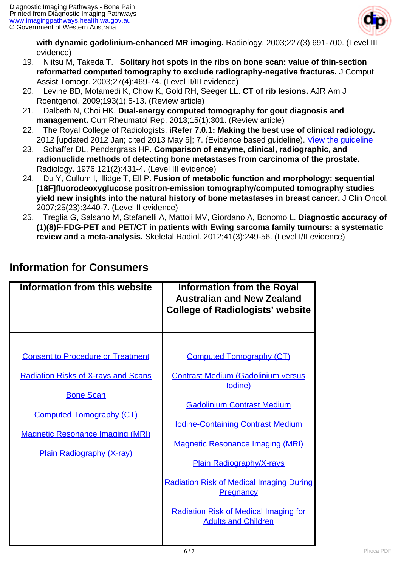

**with dynamic gadolinium-enhanced MR imaging.** Radiology. 2003;227(3):691-700. (Level III evidence)

- 19. Niitsu M, Takeda T. **Solitary hot spots in the ribs on bone scan: value of thin-section reformatted computed tomography to exclude radiography-negative fractures.** J Comput Assist Tomogr. 2003;27(4):469-74. (Level II/III evidence)
- 20. Levine BD, Motamedi K, Chow K, Gold RH, Seeger LL. **CT of rib lesions.** AJR Am J Roentgenol. 2009;193(1):5-13. (Review article)
- 21. Dalbeth N, Choi HK. **Dual-energy computed tomography for gout diagnosis and management.** Curr Rheumatol Rep. 2013;15(1):301. (Review article)
- 22. The Royal College of Radiologists. **iRefer 7.0.1: Making the best use of clinical radiology.** 2012 [updated 2012 Jan; cited 2013 May 5]; 7. (Evidence based guideline). View the quideline
- 23. Schaffer DL, Pendergrass HP. **Comparison of enzyme, clinical, radiographic, and radionuclide methods of detecting bone metastases from carcinoma of the prostate.** Radiology. 1976;121(2):431-4. (Level III evidence)
- 24. Du Y, Cullum I, Illidge T, Ell P. **Fusion of metabolic function and morphology: sequential [18F]fluorodeoxyglucose positron-emission tomography/computed tomography studies yield new insights into the natural history of bone metastases in breast cancer.** J Clin Oncol. 2007;25(23):3440-7. (Level II evidence)
- 25. Treglia G, Salsano M, Stefanelli A, Mattoli MV, Giordano A, Bonomo L. **Diagnostic accuracy of (1)(8)F-FDG-PET and PET/CT in patients with Ewing sarcoma family tumours: a systematic review and a meta-analysis.** Skeletal Radiol. 2012;41(3):249-56. (Level I/II evidence)

| <b>Consent to Procedure or Treatment</b><br><b>Computed Tomography (CT)</b><br><b>Radiation Risks of X-rays and Scans</b><br><b>Contrast Medium (Gadolinium versus</b><br>lodine)<br><b>Bone Scan</b><br><b>Gadolinium Contrast Medium</b><br><b>Computed Tomography (CT)</b><br><b>Iodine-Containing Contrast Medium</b><br><b>Magnetic Resonance Imaging (MRI)</b><br><b>Magnetic Resonance Imaging (MRI)</b><br>Plain Radiography (X-ray)<br><b>Plain Radiography/X-rays</b><br><b>Radiation Risk of Medical Imaging During</b><br><b>Pregnancy</b><br><b>Radiation Risk of Medical Imaging for</b><br><b>Adults and Children</b> | Information from this website | <b>Information from the Royal</b><br><b>Australian and New Zealand</b><br><b>College of Radiologists' website</b> |
|--------------------------------------------------------------------------------------------------------------------------------------------------------------------------------------------------------------------------------------------------------------------------------------------------------------------------------------------------------------------------------------------------------------------------------------------------------------------------------------------------------------------------------------------------------------------------------------------------------------------------------------|-------------------------------|-------------------------------------------------------------------------------------------------------------------|
|                                                                                                                                                                                                                                                                                                                                                                                                                                                                                                                                                                                                                                      |                               |                                                                                                                   |

## **Information for Consumers**